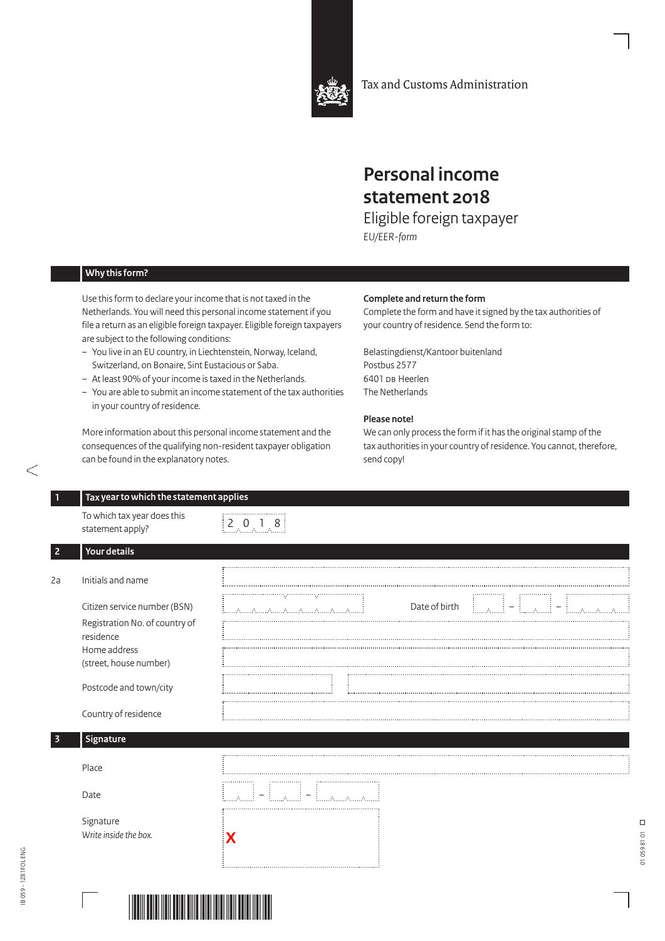

Tax and Customs Administration

# **Personal income statement 2018**

Eligible foreign taxpayer *EU/EER-form*

## **Why this form?**

Use this form to declare your income that is not taxed in the Netherlands. You will need this personal income statement if you file a return as an eligible foreign taxpayer. Eligible foreign taxpayers are subject to the following conditions:

- You live in an EU country, in Liechtenstein, Norway, Iceland, Switzerland, on Bonaire, Sint Eustacious or Saba.
- At least 90% of your income is taxed in the Netherlands.
- You are able to submit an income statement of the tax authorities in your country of residence.

More information about this personal income statement and the consequences of the qualifying non-resident taxpayer obligation can be found in the explanatory notes.

#### **Complete and return the form**

Complete the form and have it signed by the tax authorities of your country of residence. Send the form to:

Belastingdienst/Kantoor buitenland Postbus 2577 6401 DB Heerlen The Netherlands

#### **Please note!**

We can only process the form if it has the original stamp of the tax authorities in your country of residence. You cannot, therefore, send copy!

| To which tax year does this<br>statement apply?                                                                       | 2.0.1.8                                                                                                 |
|-----------------------------------------------------------------------------------------------------------------------|---------------------------------------------------------------------------------------------------------|
| Your details                                                                                                          |                                                                                                         |
| Initials and name                                                                                                     |                                                                                                         |
| Citizen service number (BSN)<br>Registration No. of country of<br>residence<br>Home address<br>(street, house number) | Date of birth<br>$\overline{\phantom{m}}$<br>$\mathcal{A}_1$<br>Elizabeth Allian Allian (Allian Allian) |
| Postcode and town/city                                                                                                |                                                                                                         |
| Country of residence                                                                                                  |                                                                                                         |
| Signature                                                                                                             |                                                                                                         |
| Place                                                                                                                 |                                                                                                         |
| Date                                                                                                                  | $\overline{\phantom{m}}$<br><b>Elizabeth Allis</b>                                                      |
| Signature<br>Write inside the box.                                                                                    |                                                                                                         |

Entrance of



 $\Box$